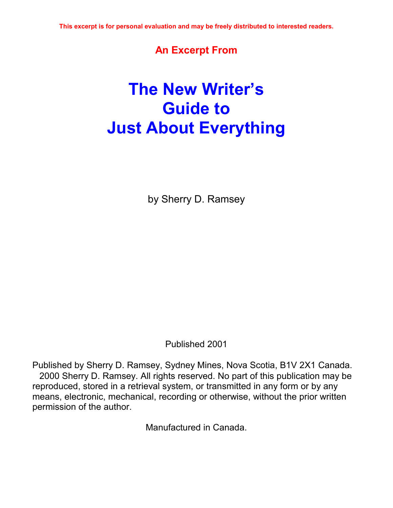## **An Excerpt From**

# **The New Writerís Guide to Just About Everything**

by Sherry D. Ramsey

Published 2001

Published by Sherry D. Ramsey, Sydney Mines, Nova Scotia, B1V 2X1 Canada. 2000 Sherry D. Ramsey. All rights reserved. No part of this publication may be reproduced, stored in a retrieval system, or transmitted in any form or by any means, electronic, mechanical, recording or otherwise, without the prior written permission of the author.

Manufactured in Canada.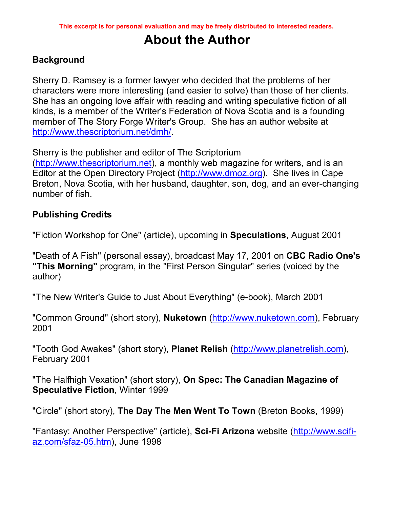## **About the Author**

### **Background**

Sherry D. Ramsey is a former lawyer who decided that the problems of her characters were more interesting (and easier to solve) than those of her clients. She has an ongoing love affair with reading and writing speculative fiction of all kinds, is a member of the Writer's Federation of Nova Scotia and is a founding member of The Story Forge Writer's Group. She has an author website at http://www.thescriptorium.net/dmh/.

Sherry is the publisher and editor of The Scriptorium

(http://www.thescriptorium.net), a monthly web magazine for writers, and is an Editor at the Open Directory Project (http://www.dmoz.org). She lives in Cape Breton, Nova Scotia, with her husband, daughter, son, dog, and an ever-changing number of fish.

### **Publishing Credits**

"Fiction Workshop for One" (article), upcoming in **Speculations**, August 2001

"Death of A Fish" (personal essay), broadcast May 17, 2001 on **CBC Radio One's "This Morning"** program, in the "First Person Singular" series (voiced by the author)

"The New Writer's Guide to Just About Everything" (e-book), March 2001

"Common Ground" (short story), **Nuketown** (http://www.nuketown.com), February 2001

"Tooth God Awakes" (short story), **Planet Relish** (http://www.planetrelish.com), February 2001

"The Halfhigh Vexation" (short story), **On Spec: The Canadian Magazine of Speculative Fiction**, Winter 1999

"Circle" (short story), **The Day The Men Went To Town** (Breton Books, 1999)

"Fantasy: Another Perspective" (article), **Sci-Fi Arizona** website (http://www.scifiaz.com/sfaz-05.htm), June 1998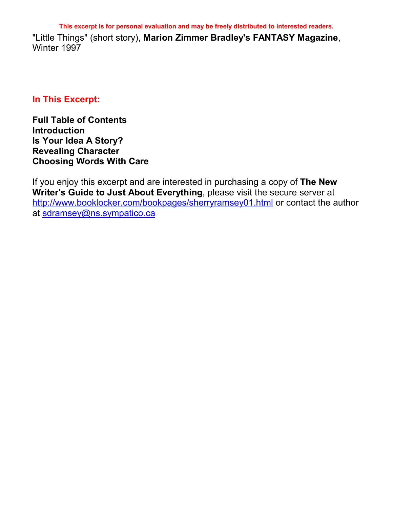**This excerpt is for personal evaluation and may be freely distributed to interested readers.** 

"Little Things" (short story), **Marion Zimmer Bradley's FANTASY Magazine**, Winter 1997

#### **In This Excerpt:**

**Full Table of Contents Introduction Is Your Idea A Story? Revealing Character Choosing Words With Care** 

If you enjoy this excerpt and are interested in purchasing a copy of **The New Writer's Guide to Just About Everything**, please visit the secure server at http://www.booklocker.com/bookpages/sherryramsey01.html or contact the author at sdramsey@ns.sympatico.ca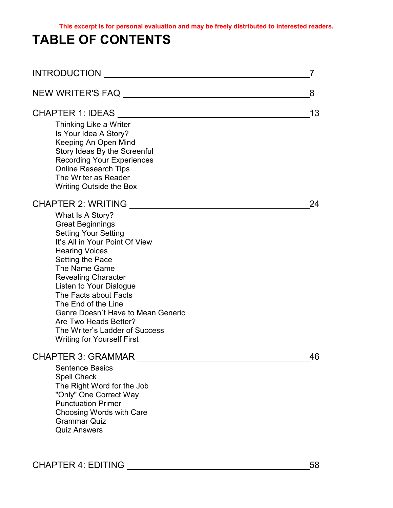## **TABLE OF CONTENTS**

| <b>INTRODUCTION</b>                                                                                                                                                                                                                                                                                                                                                                                                                             | 7  |
|-------------------------------------------------------------------------------------------------------------------------------------------------------------------------------------------------------------------------------------------------------------------------------------------------------------------------------------------------------------------------------------------------------------------------------------------------|----|
| NEW WRITER'S FAQ                                                                                                                                                                                                                                                                                                                                                                                                                                | 8  |
| CHAPTER 1: IDEAS ________________________________<br>Thinking Like a Writer<br>Is Your Idea A Story?<br>Keeping An Open Mind<br>Story Ideas By the Screenful<br><b>Recording Your Experiences</b><br><b>Online Research Tips</b><br>The Writer as Reader<br><b>Writing Outside the Box</b>                                                                                                                                                      | 13 |
| CHAPTER 2: WRITING<br>What Is A Story?<br><b>Great Beginnings</b><br><b>Setting Your Setting</b><br>It's All in Your Point Of View<br><b>Hearing Voices</b><br>Setting the Pace<br>The Name Game<br><b>Revealing Character</b><br>Listen to Your Dialogue<br>The Facts about Facts<br>The End of the Line<br>Genre Doesn't Have to Mean Generic<br>Are Two Heads Better?<br>The Writer's Ladder of Success<br><b>Writing for Yourself First</b> | 24 |
| CHAPTER 3: GRAMMAR<br><b>Sentence Basics</b><br><b>Spell Check</b><br>The Right Word for the Job<br>"Only" One Correct Way<br><b>Punctuation Primer</b><br>Choosing Words with Care<br><b>Grammar Quiz</b><br><b>Quiz Answers</b>                                                                                                                                                                                                               | 46 |

CHAPTER 4: EDITING 58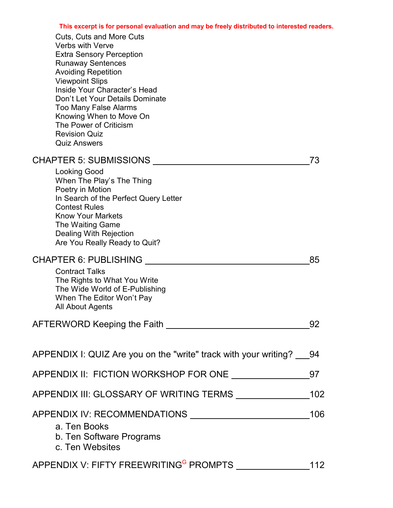| Cuts, Cuts and More Cuts<br><b>Verbs with Verve</b><br><b>Extra Sensory Perception</b><br><b>Runaway Sentences</b><br><b>Avoiding Repetition</b><br><b>Viewpoint Slips</b><br>Inside Your Character's Head<br>Don't Let Your Details Dominate<br><b>Too Many False Alarms</b><br>Knowing When to Move On<br>The Power of Criticism<br><b>Revision Quiz</b><br><b>Quiz Answers</b> |     |
|-----------------------------------------------------------------------------------------------------------------------------------------------------------------------------------------------------------------------------------------------------------------------------------------------------------------------------------------------------------------------------------|-----|
| <b>CHAPTER 5: SUBMISSIONS</b>                                                                                                                                                                                                                                                                                                                                                     | 73  |
| <b>Looking Good</b><br>When The Play's The Thing<br>Poetry in Motion<br>In Search of the Perfect Query Letter<br><b>Contest Rules</b><br><b>Know Your Markets</b><br>The Waiting Game<br><b>Dealing With Rejection</b><br>Are You Really Ready to Quit?                                                                                                                           |     |
| <b>CHAPTER 6: PUBLISHING</b>                                                                                                                                                                                                                                                                                                                                                      | 85  |
| <b>Contract Talks</b><br>The Rights to What You Write<br>The Wide World of E-Publishing<br>When The Editor Won't Pay<br>All About Agents                                                                                                                                                                                                                                          |     |
|                                                                                                                                                                                                                                                                                                                                                                                   | 92  |
| APPENDIX I: QUIZ Are you on the "write" track with your writing? 94                                                                                                                                                                                                                                                                                                               |     |
| APPENDIX II: FICTION WORKSHOP FOR ONE ______________                                                                                                                                                                                                                                                                                                                              | 97  |
|                                                                                                                                                                                                                                                                                                                                                                                   | 102 |
| a. Ten Books<br>b. Ten Software Programs<br>c. Ten Websites                                                                                                                                                                                                                                                                                                                       | 106 |
|                                                                                                                                                                                                                                                                                                                                                                                   |     |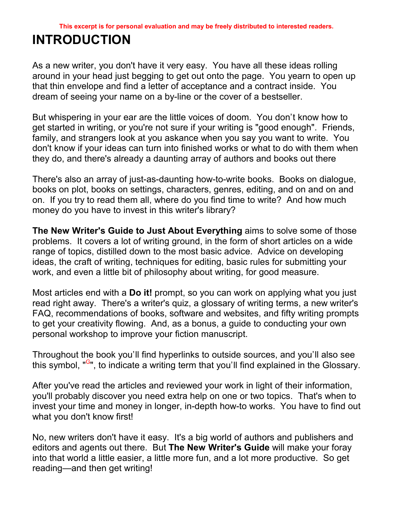## **INTRODUCTION**

As a new writer, you don't have it very easy. You have all these ideas rolling around in your head just begging to get out onto the page. You yearn to open up that thin envelope and find a letter of acceptance and a contract inside. You dream of seeing your name on a by-line or the cover of a bestseller.

But whispering in your ear are the little voices of doom. You don't know how to get started in writing, or you're not sure if your writing is "good enough". Friends, family, and strangers look at you askance when you say you want to write. You don't know if your ideas can turn into finished works or what to do with them when they do, and there's already a daunting array of authors and books out there

There's also an array of just-as-daunting how-to-write books. Books on dialogue, books on plot, books on settings, characters, genres, editing, and on and on and on. If you try to read them all, where do you find time to write? And how much money do you have to invest in this writer's library?

**The New Writer's Guide to Just About Everything** aims to solve some of those problems. It covers a lot of writing ground, in the form of short articles on a wide range of topics, distilled down to the most basic advice. Advice on developing ideas, the craft of writing, techniques for editing, basic rules for submitting your work, and even a little bit of philosophy about writing, for good measure.

Most articles end with a **Do it!** prompt, so you can work on applying what you just read right away. There's a writer's quiz, a glossary of writing terms, a new writer's FAQ, recommendations of books, software and websites, and fifty writing prompts to get your creativity flowing. And, as a bonus, a guide to conducting your own personal workshop to improve your fiction manuscript.

Throughout the book you'll find hyperlinks to outside sources, and you'll also see this symbol, "<sup>G</sup>", to indicate a writing term that you'll find explained in the Glossary.

After you've read the articles and reviewed your work in light of their information, you'll probably discover you need extra help on one or two topics. That's when to invest your time and money in longer, in-depth how-to works. You have to find out what you don't know first!

No, new writers don't have it easy. It's a big world of authors and publishers and editors and agents out there. But **The New Writer's Guide** will make your foray into that world a little easier, a little more fun, and a lot more productive. So get reading—and then get writing!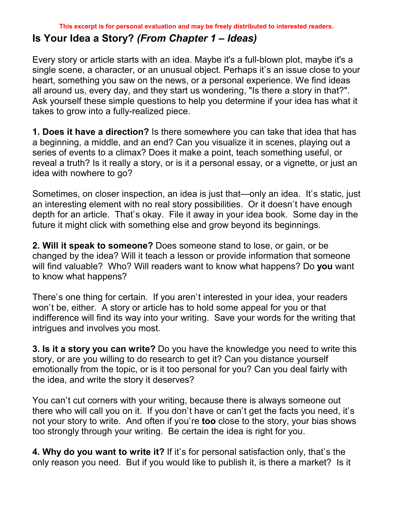## **Is Your Idea a Story?** *(From Chapter 1 – Ideas)*

Every story or article starts with an idea. Maybe it's a full-blown plot, maybe it's a single scene, a character, or an unusual object. Perhaps it's an issue close to your heart, something you saw on the news, or a personal experience. We find ideas all around us, every day, and they start us wondering, "Is there a story in that?". Ask yourself these simple questions to help you determine if your idea has what it takes to grow into a fully-realized piece.

**1. Does it have a direction?** Is there somewhere you can take that idea that has a beginning, a middle, and an end? Can you visualize it in scenes, playing out a series of events to a climax? Does it make a point, teach something useful, or reveal a truth? Is it really a story, or is it a personal essay, or a vignette, or just an idea with nowhere to go?

Sometimes, on closer inspection, an idea is just that—only an idea. It's static, just an interesting element with no real story possibilities. Or it doesn't have enough depth for an article. That's okay. File it away in your idea book. Some day in the future it might click with something else and grow beyond its beginnings.

**2. Will it speak to someone?** Does someone stand to lose, or gain, or be changed by the idea? Will it teach a lesson or provide information that someone will find valuable? Who? Will readers want to know what happens? Do **you** want to know what happens?

There's one thing for certain. If you aren't interested in your idea, your readers won't be, either. A story or article has to hold some appeal for you or that indifference will find its way into your writing. Save your words for the writing that intrigues and involves you most.

**3. Is it a story you can write?** Do you have the knowledge you need to write this story, or are you willing to do research to get it? Can you distance yourself emotionally from the topic, or is it too personal for you? Can you deal fairly with the idea, and write the story it deserves?

You can't cut corners with your writing, because there is always someone out there who will call you on it. If you don't have or can't get the facts you need, it's not your story to write. And often if you're **too** close to the story, your bias shows too strongly through your writing. Be certain the idea is right for you.

**4. Why do you want to write it?** If it's for personal satisfaction only, that's the only reason you need. But if you would like to publish it, is there a market? Is it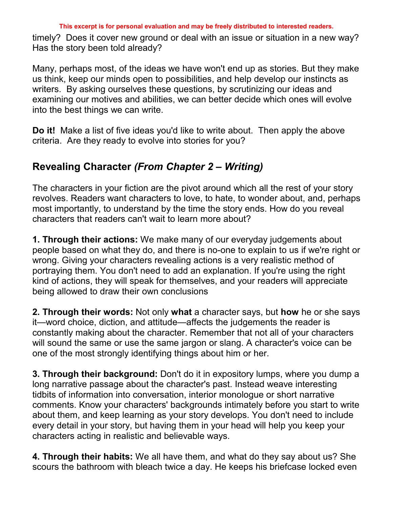timely? Does it cover new ground or deal with an issue or situation in a new way? Has the story been told already?

Many, perhaps most, of the ideas we have won't end up as stories. But they make us think, keep our minds open to possibilities, and help develop our instincts as writers. By asking ourselves these questions, by scrutinizing our ideas and examining our motives and abilities, we can better decide which ones will evolve into the best things we can write.

**Do it!** Make a list of five ideas you'd like to write about. Then apply the above criteria. Are they ready to evolve into stories for you?

## **Revealing Character** *(From Chapter 2 – Writing)*

The characters in your fiction are the pivot around which all the rest of your story revolves. Readers want characters to love, to hate, to wonder about, and, perhaps most importantly, to understand by the time the story ends. How do you reveal characters that readers can't wait to learn more about?

**1. Through their actions:** We make many of our everyday judgements about people based on what they do, and there is no-one to explain to us if we're right or wrong. Giving your characters revealing actions is a very realistic method of portraying them. You don't need to add an explanation. If you're using the right kind of actions, they will speak for themselves, and your readers will appreciate being allowed to draw their own conclusions

**2. Through their words:** Not only **what** a character says, but **how** he or she says it—word choice, diction, and attitude—affects the judgements the reader is constantly making about the character. Remember that not all of your characters will sound the same or use the same jargon or slang. A character's voice can be one of the most strongly identifying things about him or her.

**3. Through their background:** Don't do it in expository lumps, where you dump a long narrative passage about the character's past. Instead weave interesting tidbits of information into conversation, interior monologue or short narrative comments. Know your characters' backgrounds intimately before you start to write about them, and keep learning as your story develops. You don't need to include every detail in your story, but having them in your head will help you keep your characters acting in realistic and believable ways.

**4. Through their habits:** We all have them, and what do they say about us? She scours the bathroom with bleach twice a day. He keeps his briefcase locked even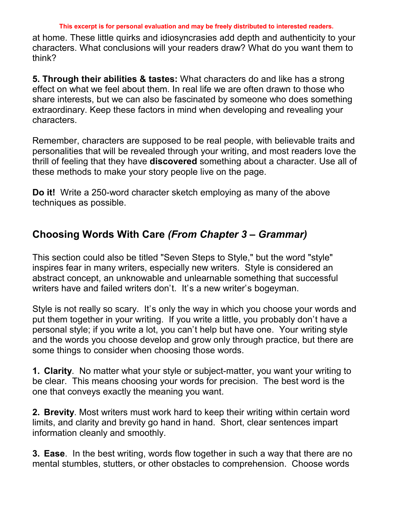#### **This excerpt is for personal evaluation and may be freely distributed to interested readers.**

at home. These little quirks and idiosyncrasies add depth and authenticity to your characters. What conclusions will your readers draw? What do you want them to think?

**5. Through their abilities & tastes:** What characters do and like has a strong effect on what we feel about them. In real life we are often drawn to those who share interests, but we can also be fascinated by someone who does something extraordinary. Keep these factors in mind when developing and revealing your characters.

Remember, characters are supposed to be real people, with believable traits and personalities that will be revealed through your writing, and most readers love the thrill of feeling that they have **discovered** something about a character. Use all of these methods to make your story people live on the page.

**Do it!** Write a 250-word character sketch employing as many of the above techniques as possible.

## **Choosing Words With Care (From Chapter 3 – Grammar)**

This section could also be titled "Seven Steps to Style," but the word "style" inspires fear in many writers, especially new writers. Style is considered an abstract concept, an unknowable and unlearnable something that successful writers have and failed writers don't. It's a new writer's bogeyman.

Style is not really so scary. It's only the way in which you choose your words and put them together in your writing. If you write a little, you probably don't have a personal style; if you write a lot, you canít help but have one. Your writing style and the words you choose develop and grow only through practice, but there are some things to consider when choosing those words.

**1. Clarity**. No matter what your style or subject-matter, you want your writing to be clear. This means choosing your words for precision. The best word is the one that conveys exactly the meaning you want.

**2. Brevity**. Most writers must work hard to keep their writing within certain word limits, and clarity and brevity go hand in hand. Short, clear sentences impart information cleanly and smoothly.

**3. Ease**. In the best writing, words flow together in such a way that there are no mental stumbles, stutters, or other obstacles to comprehension. Choose words